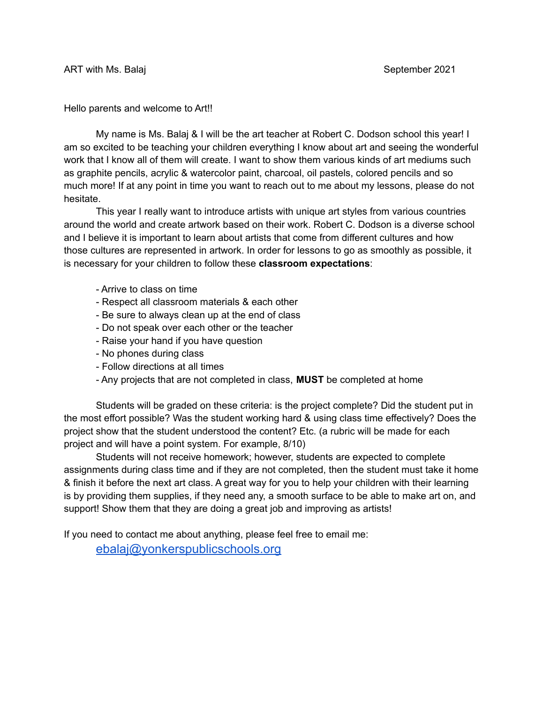Hello parents and welcome to Art!!

My name is Ms. Balaj & I will be the art teacher at Robert C. Dodson school this year! I am so excited to be teaching your children everything I know about art and seeing the wonderful work that I know all of them will create. I want to show them various kinds of art mediums such as graphite pencils, acrylic & watercolor paint, charcoal, oil pastels, colored pencils and so much more! If at any point in time you want to reach out to me about my lessons, please do not hesitate.

This year I really want to introduce artists with unique art styles from various countries around the world and create artwork based on their work. Robert C. Dodson is a diverse school and I believe it is important to learn about artists that come from different cultures and how those cultures are represented in artwork. In order for lessons to go as smoothly as possible, it is necessary for your children to follow these **classroom expectations**:

- Arrive to class on time
- Respect all classroom materials & each other
- Be sure to always clean up at the end of class
- Do not speak over each other or the teacher
- Raise your hand if you have question
- No phones during class
- Follow directions at all times
- Any projects that are not completed in class, **MUST** be completed at home

Students will be graded on these criteria: is the project complete? Did the student put in the most effort possible? Was the student working hard & using class time effectively? Does the project show that the student understood the content? Etc. (a rubric will be made for each project and will have a point system. For example, 8/10)

Students will not receive homework; however, students are expected to complete assignments during class time and if they are not completed, then the student must take it home & finish it before the next art class. A great way for you to help your children with their learning is by providing them supplies, if they need any, a smooth surface to be able to make art on, and support! Show them that they are doing a great job and improving as artists!

If you need to contact me about anything, please feel free to email me:

[ebalaj@yonkerspublicschools.org](mailto:ebalaj@yonkerspublicschools.org)